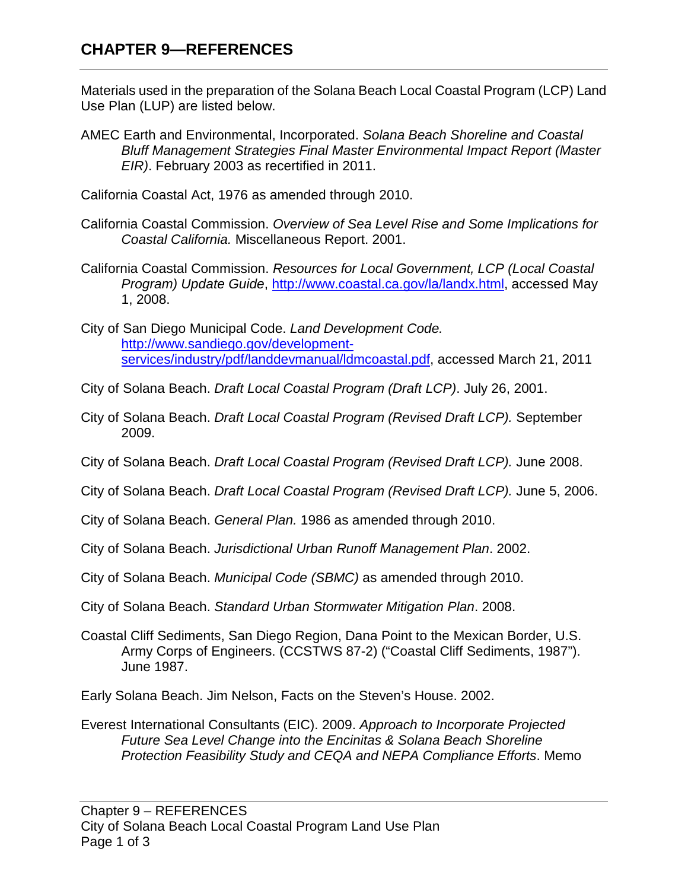## **CHAPTER 9—REFERENCES**

Materials used in the preparation of the Solana Beach Local Coastal Program (LCP) Land Use Plan (LUP) are listed below.

AMEC Earth and Environmental, Incorporated. *Solana Beach Shoreline and Coastal Bluff Management Strategies Final Master Environmental Impact Report (Master EIR)*. February 2003 as recertified in 2011.

California Coastal Act, 1976 as amended through 2010.

- California Coastal Commission. *Overview of Sea Level Rise and Some Implications for Coastal California.* Miscellaneous Report. 2001.
- California Coastal Commission. *Resources for Local Government, LCP (Local Coastal Program) Update Guide*, [http://www.coastal.ca.gov/la/landx.html,](http://www.coastal.ca.gov/la/landx.html) accessed May 1, 2008.
- City of San Diego Municipal Code. *Land Development Code.* [http://www.sandiego.gov/development](http://www.sandiego.gov/development-services/industry/pdf/landdevmanual/ldmcoastal.pdf)[services/industry/pdf/landdevmanual/ldmcoastal.pdf,](http://www.sandiego.gov/development-services/industry/pdf/landdevmanual/ldmcoastal.pdf) accessed March 21, 2011
- City of Solana Beach. *Draft Local Coastal Program (Draft LCP)*. July 26, 2001.
- City of Solana Beach. *Draft Local Coastal Program (Revised Draft LCP).* September 2009.
- City of Solana Beach. *Draft Local Coastal Program (Revised Draft LCP).* June 2008.
- City of Solana Beach. *Draft Local Coastal Program (Revised Draft LCP).* June 5, 2006.
- City of Solana Beach. *General Plan.* 1986 as amended through 2010.
- City of Solana Beach. *Jurisdictional Urban Runoff Management Plan*. 2002.
- City of Solana Beach. *Municipal Code (SBMC)* as amended through 2010.
- City of Solana Beach. *Standard Urban Stormwater Mitigation Plan*. 2008.
- Coastal Cliff Sediments, San Diego Region, Dana Point to the Mexican Border, U.S. Army Corps of Engineers. (CCSTWS 87-2) ("Coastal Cliff Sediments, 1987"). June 1987.
- Early Solana Beach. Jim Nelson, Facts on the Steven's House. 2002.
- Everest International Consultants (EIC). 2009. *Approach to Incorporate Projected Future Sea Level Change into the Encinitas & Solana Beach Shoreline Protection Feasibility Study and CEQA and NEPA Compliance Efforts*. Memo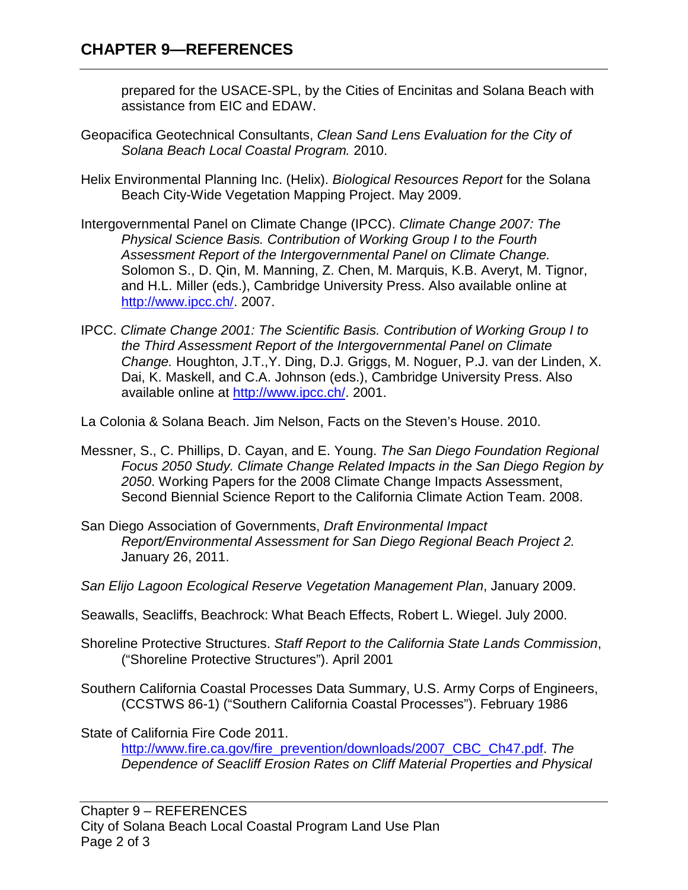prepared for the USACE-SPL, by the Cities of Encinitas and Solana Beach with assistance from EIC and EDAW.

- Geopacifica Geotechnical Consultants, *Clean Sand Lens Evaluation for the City of Solana Beach Local Coastal Program.* 2010.
- Helix Environmental Planning Inc. (Helix). *Biological Resources Report* for the Solana Beach City-Wide Vegetation Mapping Project. May 2009.
- Intergovernmental Panel on Climate Change (IPCC). *Climate Change 2007: The Physical Science Basis. Contribution of Working Group I to the Fourth Assessment Report of the Intergovernmental Panel on Climate Change.* Solomon S., D. Qin, M. Manning, Z. Chen, M. Marquis, K.B. Averyt, M. Tignor, and H.L. Miller (eds.), Cambridge University Press. Also available online at [http://www.ipcc.ch/.](http://www.ipcc.ch/) 2007.
- IPCC. *Climate Change 2001: The Scientific Basis. Contribution of Working Group I to the Third Assessment Report of the Intergovernmental Panel on Climate Change.* Houghton, J.T.,Y. Ding, D.J. Griggs, M. Noguer, P.J. van der Linden, X. Dai, K. Maskell, and C.A. Johnson (eds.), Cambridge University Press. Also available online at [http://www.ipcc.ch/.](http://www.ipcc.ch/) 2001.

La Colonia & Solana Beach. Jim Nelson, Facts on the Steven's House. 2010.

- Messner, S., C. Phillips, D. Cayan, and E. Young. *The San Diego Foundation Regional Focus 2050 Study. Climate Change Related Impacts in the San Diego Region by 2050*. Working Papers for the 2008 Climate Change Impacts Assessment, Second Biennial Science Report to the California Climate Action Team. 2008.
- San Diego Association of Governments, *Draft Environmental Impact Report/Environmental Assessment for San Diego Regional Beach Project 2.* January 26, 2011.
- *San Elijo Lagoon Ecological Reserve Vegetation Management Plan*, January 2009.
- Seawalls, Seacliffs, Beachrock: What Beach Effects, Robert L. Wiegel. July 2000.
- Shoreline Protective Structures. *Staff Report to the California State Lands Commission*, ("Shoreline Protective Structures"). April 2001
- Southern California Coastal Processes Data Summary, U.S. Army Corps of Engineers, (CCSTWS 86-1) ("Southern California Coastal Processes"). February 1986

State of California Fire Code 2011.

[http://www.fire.ca.gov/fire\\_prevention/downloads/2007\\_CBC\\_Ch47.pdf.](http://www.fire.ca.gov/fire_prevention/downloads/2007_CBC_Ch47.pdf) *The Dependence of Seacliff Erosion Rates on Cliff Material Properties and Physical*